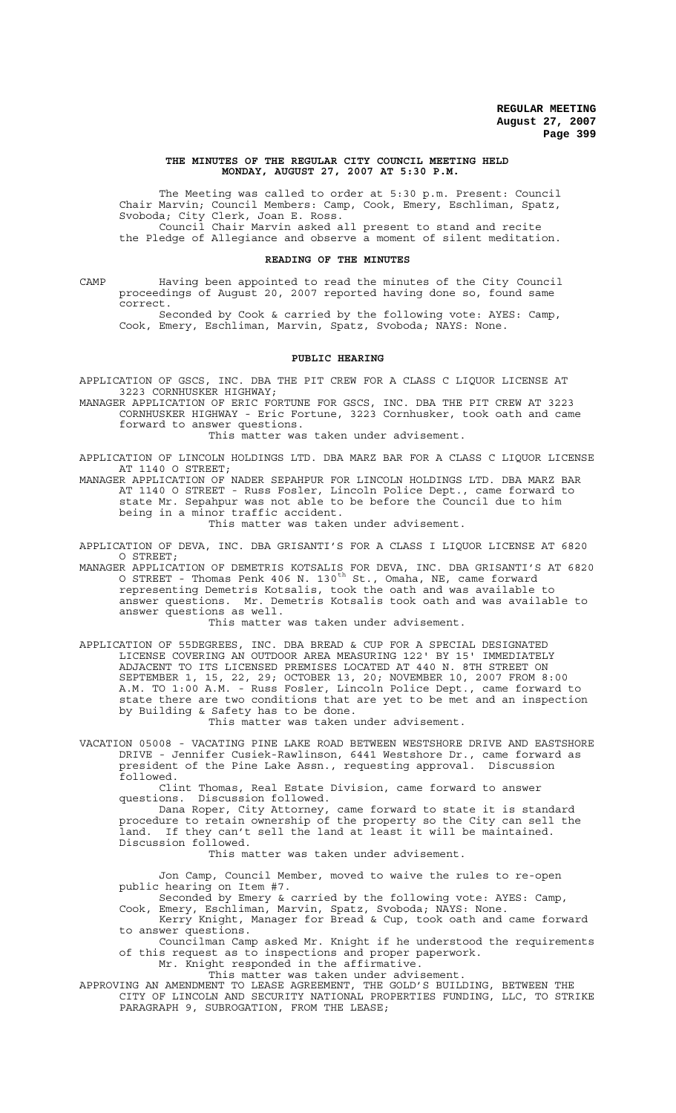#### **THE MINUTES OF THE REGULAR CITY COUNCIL MEETING HELD MONDAY, AUGUST 27, 2007 AT 5:30 P.M.**

The Meeting was called to order at 5:30 p.m. Present: Council Chair Marvin; Council Members: Camp, Cook, Emery, Eschliman, Spatz, Svoboda; City Clerk, Joan E. Ross. Council Chair Marvin asked all present to stand and recite the Pledge of Allegiance and observe a moment of silent meditation.

### **READING OF THE MINUTES**

CAMP Having been appointed to read the minutes of the City Council proceedings of August 20, 2007 reported having done so, found same correct.

Seconded by Cook & carried by the following vote: AYES: Camp, Cook, Emery, Eschliman, Marvin, Spatz, Svoboda; NAYS: None.

## **PUBLIC HEARING**

APPLICATION OF GSCS, INC. DBA THE PIT CREW FOR A CLASS C LIQUOR LICENSE AT 3223 CORNHUSKER HIGHWAY;

MANAGER APPLICATION OF ERIC FORTUNE FOR GSCS, INC. DBA THE PIT CREW AT 3223 CORNHUSKER HIGHWAY - Eric Fortune, 3223 Cornhusker, took oath and came forward to answer questions.

This matter was taken under advisement.

APPLICATION OF LINCOLN HOLDINGS LTD. DBA MARZ BAR FOR A CLASS C LIQUOR LICENSE AT 1140 O STREET;

MANAGER APPLICATION OF NADER SEPAHPUR FOR LINCOLN HOLDINGS LTD. DBA MARZ BAR AT 1140 O STREET - Russ Fosler, Lincoln Police Dept., came forward to state Mr. Sepahpur was not able to be before the Council due to him being in a minor traffic accident.

This matter was taken under advisement.

APPLICATION OF DEVA, INC. DBA GRISANTI'S FOR A CLASS I LIQUOR LICENSE AT 6820 O STREET;

MANAGER APPLICATION OF DEMETRIS KOTSALIS FOR DEVA, INC. DBA GRISANTI'S AT 6820 O STREET - Thomas Penk 406 N. 130 $^{\text{th}}$  St., Omaha, NE, came forward representing Demetris Kotsalis, took the oath and was available to answer questions. Mr. Demetris Kotsalis took oath and was available to answer questions as well.

This matter was taken under advisement.

APPLICATION OF 55DEGREES, INC. DBA BREAD & CUP FOR A SPECIAL DESIGNATED LICENSE COVERING AN OUTDOOR AREA MEASURING 122' BY 15' IMMEDIATELY ADJACENT TO ITS LICENSED PREMISES LOCATED AT 440 N. 8TH STREET ON SEPTEMBER 1, 15, 22, 29; OCTOBER 13, 20; NOVEMBER 10, 2007 FROM 8:00 A.M. TO 1:00 A.M. - Russ Fosler, Lincoln Police Dept., came forward to state there are two conditions that are yet to be met and an inspection by Building & Safety has to be done.

This matter was taken under advisement.

VACATION 05008 - VACATING PINE LAKE ROAD BETWEEN WESTSHORE DRIVE AND EASTSHORE DRIVE - Jennifer Cusiek-Rawlinson, 6441 Westshore Dr., came forward as president of the Pine Lake Assn., requesting approval. Discussion followed.

Clint Thomas, Real Estate Division, came forward to answer questions. Discussion followed.

Dana Roper, City Attorney, came forward to state it is standard procedure to retain ownership of the property so the City can sell the land. If they can't sell the land at least it will be maintained. Discussion followed.

# This matter was taken under advisement.

Jon Camp, Council Member, moved to waive the rules to re-open public hearing on Item #7.

Seconded by Emery & carried by the following vote: AYES: Camp, Cook, Emery, Eschliman, Marvin, Spatz, Svoboda; NAYS: None.

Kerry Knight, Manager for Bread & Cup, took oath and came forward to answer questions.

Councilman Camp asked Mr. Knight if he understood the requirements of this request as to inspections and proper paperwork.

Mr. Knight responded in the affirmative.

This matter was taken under advisement.

APPROVING AN AMENDMENT TO LEASE AGREEMENT, THE GOLD'S BUILDING, BETWEEN THE CITY OF LINCOLN AND SECURITY NATIONAL PROPERTIES FUNDING, LLC, TO STRIKE PARAGRAPH 9, SUBROGATION, FROM THE LEASE;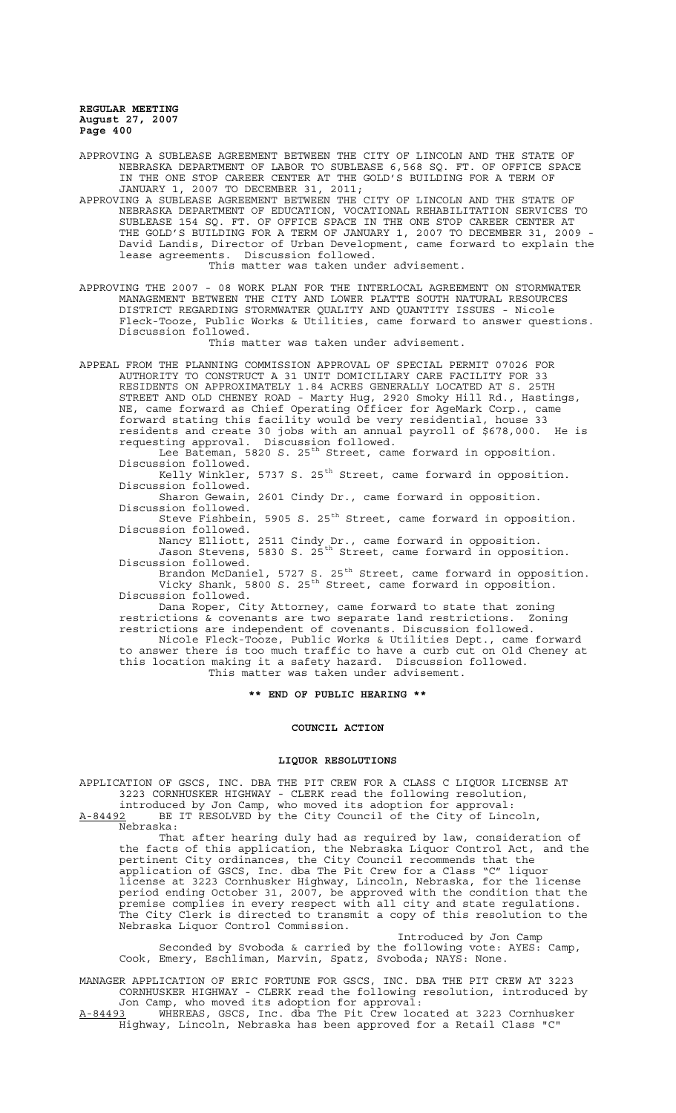APPROVING A SUBLEASE AGREEMENT BETWEEN THE CITY OF LINCOLN AND THE STATE OF NEBRASKA DEPARTMENT OF LABOR TO SUBLEASE 6,568 SQ. FT. OF OFFICE SPACE IN THE ONE STOP CAREER CENTER AT THE GOLD'S BUILDING FOR A TERM OF JANUARY 1, 2007 TO DECEMBER 31, 2011;

APPROVING A SUBLEASE AGREEMENT BETWEEN THE CITY OF LINCOLN AND THE STATE OF NEBRASKA DEPARTMENT OF EDUCATION, VOCATIONAL REHABILITATION SERVICES TO SUBLEASE 154 SQ. FT. OF OFFICE SPACE IN THE ONE STOP CAREER CENTER AT THE GOLD'S BUILDING FOR A TERM OF JANUARY 1, 2007 TO DECEMBER 31, 2009 - David Landis, Director of Urban Development, came forward to explain the lease agreements. Discussion followed. This matter was taken under advisement.

APPROVING THE 2007 - 08 WORK PLAN FOR THE INTERLOCAL AGREEMENT ON STORMWATER MANAGEMENT BETWEEN THE CITY AND LOWER PLATTE SOUTH NATURAL RESOURCES DISTRICT REGARDING STORMWATER QUALITY AND QUANTITY ISSUES - Nicole Fleck-Tooze, Public Works & Utilities, came forward to answer questions. Discussion followed.

This matter was taken under advisement.

APPEAL FROM THE PLANNING COMMISSION APPROVAL OF SPECIAL PERMIT 07026 FOR AUTHORITY TO CONSTRUCT A 31 UNIT DOMICILIARY CARE FACILITY FOR 33 RESIDENTS ON APPROXIMATELY 1.84 ACRES GENERALLY LOCATED AT S. 25TH STREET AND OLD CHENEY ROAD - Marty Hug, 2920 Smoky Hill Rd., Hastings, NE, came forward as Chief Operating Officer for AgeMark Corp., came forward stating this facility would be very residential, house 33 residents and create 30 jobs with an annual payroll of \$678,000. He is requesting approval. Discussion followed.

Lee Bateman, 5820 S. 25<sup>th</sup> Street, came forward in opposition. Discussion followed.

Kelly Winkler, 5737 S.  $25<sup>th</sup>$  Street, came forward in opposition. Discussion followed.

Sharon Gewain, 2601 Cindy Dr., came forward in opposition. Discussion followed.

Steve Fishbein, 5905 S.  $25<sup>th</sup>$  Street, came forward in opposition. Discussion followed.

Nancy Elliott, 2511 Cindy Dr., came forward in opposition. Jason Stevens, 5830 S. 25th Street, came forward in opposition. Discussion followed.

Brandon McDaniel, 5727 S. 25<sup>th</sup> Street, came forward in opposition. Vicky Shank, 5800 S. 25th Street, came forward in opposition. Discussion followed.

Dana Roper, City Attorney, came forward to state that zoning restrictions & covenants are two separate land restrictions. Zoning restrictions are independent of covenants. Discussion followed.

Nicole Fleck-Tooze, Public Works & Utilities Dept., came forward to answer there is too much traffic to have a curb cut on Old Cheney at this location making it a safety hazard. Discussion followed. This matter was taken under advisement.

# **\*\* END OF PUBLIC HEARING \*\***

# **COUNCIL ACTION**

## **LIQUOR RESOLUTIONS**

APPLICATION OF GSCS, INC. DBA THE PIT CREW FOR A CLASS C LIQUOR LICENSE AT 3223 CORNHUSKER HIGHWAY - CLERK read the following resolution, introduced by Jon Camp, who moved its adoption for approval:

A-84492 BE IT RESOLVED by the City Council of the City of Lincoln, Nebraska:

That after hearing duly had as required by law, consideration of the facts of this application, the Nebraska Liquor Control Act, and the pertinent City ordinances, the City Council recommends that the application of GSCS, Inc. dba The Pit Crew for a Class "C" liquor license at 3223 Cornhusker Highway, Lincoln, Nebraska, for the license period ending October 31, 2007, be approved with the condition that the premise complies in every respect with all city and state regulations. The City Clerk is directed to transmit a copy of this resolution to the Nebraska Liquor Control Commission.

Introduced by Jon Camp Seconded by Svoboda & carried by the following vote: AYES: Camp, Cook, Emery, Eschliman, Marvin, Spatz, Svoboda; NAYS: None.

MANAGER APPLICATION OF ERIC FORTUNE FOR GSCS, INC. DBA THE PIT CREW AT 3223 CORNHUSKER HIGHWAY - CLERK read the following resolution, introduced by Jon Camp, who moved its adoption for approval:

A-84493 WHEREAS, GSCS, Inc. dba The Pit Crew located at 3223 Cornhusker Highway, Lincoln, Nebraska has been approved for a Retail Class "C"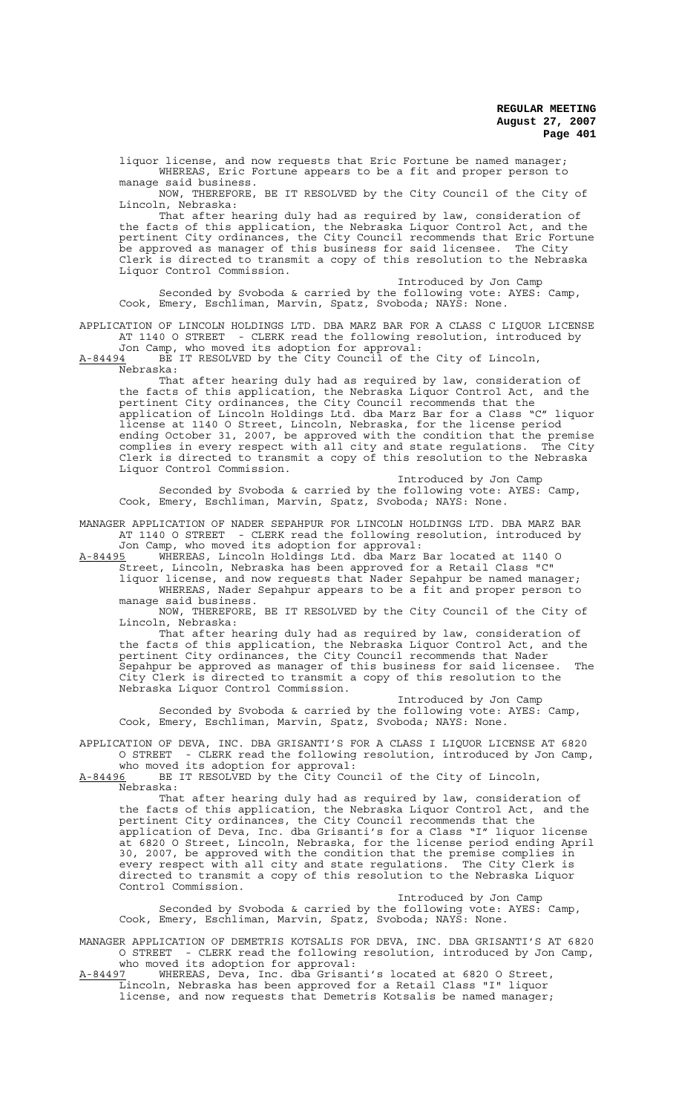liquor license, and now requests that Eric Fortune be named manager; WHEREAS, Eric Fortune appears to be a fit and proper person to manage said business.

NOW, THEREFORE, BE IT RESOLVED by the City Council of the City of Lincoln, Nebraska:

That after hearing duly had as required by law, consideration of the facts of this application, the Nebraska Liquor Control Act, and the pertinent City ordinances, the City Council recommends that Eric Fortune be approved as manager of this business for said licensee. The City Clerk is directed to transmit a copy of this resolution to the Nebraska Liquor Control Commission.

Introduced by Jon Camp Seconded by Svoboda & carried by the following vote: AYES: Camp, Cook, Emery, Eschliman, Marvin, Spatz, Svoboda; NAYS: None.

APPLICATION OF LINCOLN HOLDINGS LTD. DBA MARZ BAR FOR A CLASS C LIQUOR LICENSE AT 1140 O STREET - CLERK read the following resolution, introduced by

Jon Camp, who moved its adoption for approval: A-84494 BE IT RESOLVED by the City Council of the City of Lincoln,  $A-84494$  BE:<br>Nebraska:

That after hearing duly had as required by law, consideration of the facts of this application, the Nebraska Liquor Control Act, and the pertinent City ordinances, the City Council recommends that the application of Lincoln Holdings Ltd. dba Marz Bar for a Class "C" liquor license at 1140 O Street, Lincoln, Nebraska, for the license period ending October 31, 2007, be approved with the condition that the premise complies in every respect with all city and state regulations. The City Clerk is directed to transmit a copy of this resolution to the Nebraska Liquor Control Commission.

Introduced by Jon Camp Seconded by Svoboda & carried by the following vote: AYES: Camp, Cook, Emery, Eschliman, Marvin, Spatz, Svoboda; NAYS: None.

MANAGER APPLICATION OF NADER SEPAHPUR FOR LINCOLN HOLDINGS LTD. DBA MARZ BAR AT 1140 O STREET - CLERK read the following resolution, introduced by Jon Camp, who moved its adoption for approval:

A-84495 WHEREAS, Lincoln Holdings Ltd. dba Marz Bar located at 1140 O Street, Lincoln, Nebraska has been approved for a Retail Class "C"

liquor license, and now requests that Nader Sepahpur be named manager; WHEREAS, Nader Sepahpur appears to be a fit and proper person to manage said business.

NOW, THEREFORE, BE IT RESOLVED by the City Council of the City of Lincoln, Nebraska:

That after hearing duly had as required by law, consideration of the facts of this application, the Nebraska Liquor Control Act, and the pertinent City ordinances, the City Council recommends that Nader Sepahpur be approved as manager of this business for said licensee. The City Clerk is directed to transmit a copy of this resolution to the Nebraska Liquor Control Commission.

Introduced by Jon Camp Seconded by Svoboda & carried by the following vote: AYES: Camp, Cook, Emery, Eschliman, Marvin, Spatz, Svoboda; NAYS: None.

APPLICATION OF DEVA, INC. DBA GRISANTI'S FOR A CLASS I LIQUOR LICENSE AT 6820 O STREET - CLERK read the following resolution, introduced by Jon Camp,

who moved its adoption for approval:

A-84496 BE IT RESOLVED by the City Council of the City of Lincoln, Nebraska:

That after hearing duly had as required by law, consideration of the facts of this application, the Nebraska Liquor Control Act, and the pertinent City ordinances, the City Council recommends that the application of Deva, Inc. dba Grisanti's for a Class "I" liquor license at 6820 O Street, Lincoln, Nebraska, for the license period ending April 30, 2007, be approved with the condition that the premise complies in every respect with all city and state regulations. The City Clerk is directed to transmit a copy of this resolution to the Nebraska Liquor Control Commission.

Introduced by Jon Camp Seconded by Svoboda & carried by the following vote: AYES: Camp, Cook, Emery, Eschliman, Marvin, Spatz, Svoboda; NAYS: None.

MANAGER APPLICATION OF DEMETRIS KOTSALIS FOR DEVA, INC. DBA GRISANTI'S AT 6820 O STREET - CLERK read the following resolution, introduced by Jon Camp,

who moved its adoption for approval:<br>A-84497 WHEREAS, Deva, Inc. dba Grisan A-84497 WHEREAS, Deva, Inc. dba Grisanti's located at 6820 O Street, Lincoln, Nebraska has been approved for a Retail Class "I" liquor license, and now requests that Demetris Kotsalis be named manager;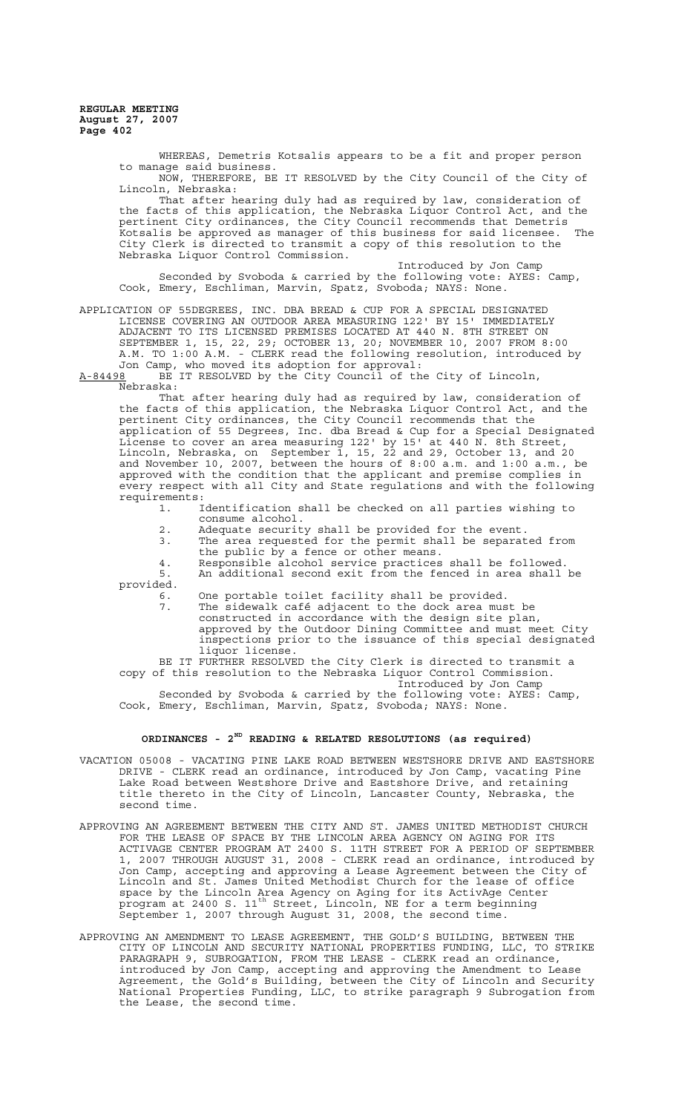> WHEREAS, Demetris Kotsalis appears to be a fit and proper person to manage said business.

NOW, THEREFORE, BE IT RESOLVED by the City Council of the City of Lincoln, Nebraska:

That after hearing duly had as required by law, consideration of the facts of this application, the Nebraska Liquor Control Act, and the pertinent City ordinances, the City Council recommends that Demetris Kotsalis be approved as manager of this business for said licensee. The City Clerk is directed to transmit a copy of this resolution to the Nebraska Liquor Control Commission.

Introduced by Jon Camp Seconded by Svoboda & carried by the following vote: AYES: Camp, Cook, Emery, Eschliman, Marvin, Spatz, Svoboda; NAYS: None.

APPLICATION OF 55DEGREES, INC. DBA BREAD & CUP FOR A SPECIAL DESIGNATED LICENSE COVERING AN OUTDOOR AREA MEASURING 122' BY 15' IMMEDIATELY ADJACENT TO ITS LICENSED PREMISES LOCATED AT 440 N. 8TH STREET ON SEPTEMBER 1, 15, 22, 29; OCTOBER 13, 20; NOVEMBER 10, 2007 FROM 8:00 A.M. TO 1:00 A.M. - CLERK read the following resolution, introduced by Jon Camp, who moved its adoption for approval:

A-84498 BE IT RESOLVED by the City Council of the City of Lincoln, Nebraska:

That after hearing duly had as required by law, consideration of the facts of this application, the Nebraska Liquor Control Act, and the pertinent City ordinances, the City Council recommends that the application of 55 Degrees, Inc. dba Bread & Cup for a Special Designated License to cover an area measuring 122' by 15' at 440 N. 8th Street, Lincoln, Nebraska, on September 1, 15, 22 and 29, October 13, and 20 and November 10, 2007, between the hours of 8:00 a.m. and 1:00 a.m., be approved with the condition that the applicant and premise complies in every respect with all City and State regulations and with the following requirements:

- 1. Identification shall be checked on all parties wishing to consume alcohol.
- 2. Adequate security shall be provided for the event.<br>3. The area requested for the permit shall be separat
- 3. The area requested for the permit shall be separated from the public by a fence or other means.

4. Responsible alcohol service practices shall be followed.<br>5. An additional second exit from the fenced in area shall An additional second exit from the fenced in area shall be

provided.<br>6.<br>7.

- One portable toilet facility shall be provided.
- 7. The sidewalk café adjacent to the dock area must be constructed in accordance with the design site plan, approved by the Outdoor Dining Committee and must meet City inspections prior to the issuance of this special designated liquor license.

BE IT FURTHER RESOLVED the City Clerk is directed to transmit a copy of this resolution to the Nebraska Liquor Control Commission. Introduced by Jon Camp

Seconded by Svoboda & carried by the following vote: AYES: Camp, Cook, Emery, Eschliman, Marvin, Spatz, Svoboda; NAYS: None.

# **ORDINANCES - 2ND READING & RELATED RESOLUTIONS (as required)**

- VACATION 05008 VACATING PINE LAKE ROAD BETWEEN WESTSHORE DRIVE AND EASTSHORE DRIVE - CLERK read an ordinance, introduced by Jon Camp, vacating Pine Lake Road between Westshore Drive and Eastshore Drive, and retaining title thereto in the City of Lincoln, Lancaster County, Nebraska, the second time.
- APPROVING AN AGREEMENT BETWEEN THE CITY AND ST. JAMES UNITED METHODIST CHURCH FOR THE LEASE OF SPACE BY THE LINCOLN AREA AGENCY ON AGING FOR ITS ACTIVAGE CENTER PROGRAM AT 2400 S. 11TH STREET FOR A PERIOD OF SEPTEMBER 1, 2007 THROUGH AUGUST 31, 2008 - CLERK read an ordinance, introduced by Jon Camp, accepting and approving a Lease Agreement between the City of Lincoln and St. James United Methodist Church for the lease of office space by the Lincoln Area Agency on Aging for its ActivAge Center program at 2400 S. 11th Street, Lincoln, NE for a term beginning September 1, 2007 through August 31, 2008, the second time.
- APPROVING AN AMENDMENT TO LEASE AGREEMENT, THE GOLD'S BUILDING, BETWEEN THE CITY OF LINCOLN AND SECURITY NATIONAL PROPERTIES FUNDING, LLC, TO STRIKE PARAGRAPH 9, SUBROGATION, FROM THE LEASE - CLERK read an ordinance, introduced by Jon Camp, accepting and approving the Amendment to Lease Agreement, the Gold's Building, between the City of Lincoln and Security National Properties Funding, LLC, to strike paragraph 9 Subrogation from the Lease, the second time.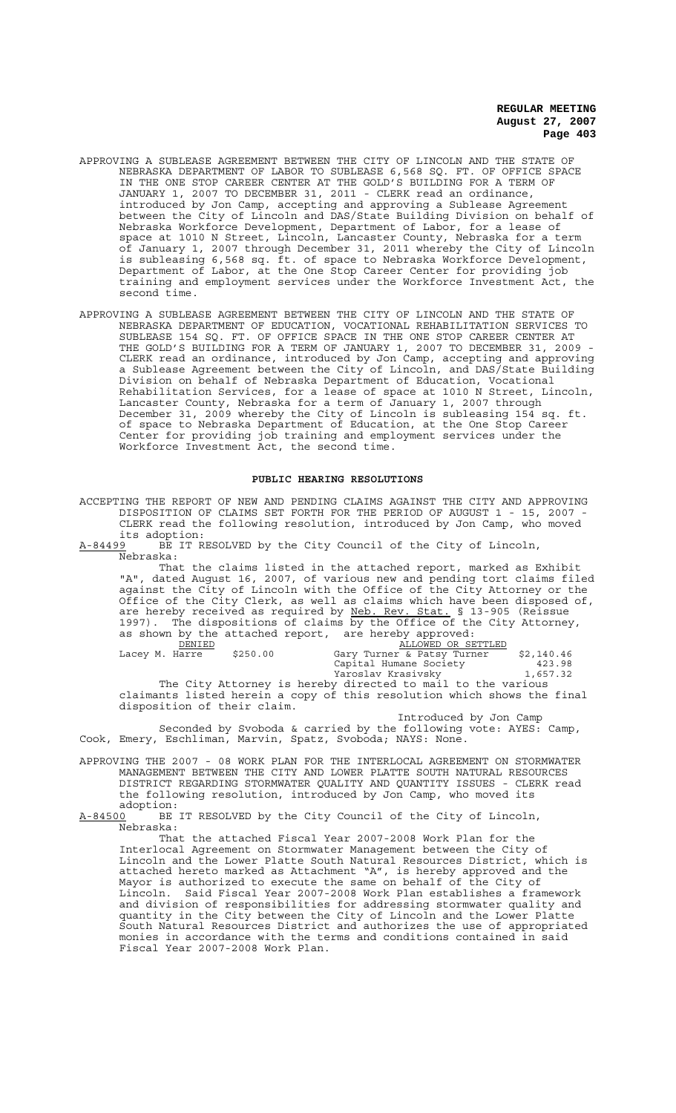- APPROVING A SUBLEASE AGREEMENT BETWEEN THE CITY OF LINCOLN AND THE STATE OF NEBRASKA DEPARTMENT OF LABOR TO SUBLEASE 6,568 SQ. FT. OF OFFICE SPACE IN THE ONE STOP CAREER CENTER AT THE GOLD'S BUILDING FOR A TERM OF JANUARY 1, 2007 TO DECEMBER 31, 2011 - CLERK read an ordinance, introduced by Jon Camp, accepting and approving a Sublease Agreement between the City of Lincoln and DAS/State Building Division on behalf of Nebraska Workforce Development, Department of Labor, for a lease of space at 1010 N Street, Lincoln, Lancaster County, Nebraska for a term of January 1, 2007 through December 31, 2011 whereby the City of Lincoln is subleasing 6,568 sq. ft. of space to Nebraska Workforce Development, Department of Labor, at the One Stop Career Center for providing job training and employment services under the Workforce Investment Act, the second time.
- APPROVING A SUBLEASE AGREEMENT BETWEEN THE CITY OF LINCOLN AND THE STATE OF NEBRASKA DEPARTMENT OF EDUCATION, VOCATIONAL REHABILITATION SERVICES TO SUBLEASE 154 SQ. FT. OF OFFICE SPACE IN THE ONE STOP CAREER CENTER AT THE GOLD'S BUILDING FOR A TERM OF JANUARY 1, 2007 TO DECEMBER 31, 2009 - CLERK read an ordinance, introduced by Jon Camp, accepting and approving a Sublease Agreement between the City of Lincoln, and DAS/State Building Division on behalf of Nebraska Department of Education, Vocational Rehabilitation Services, for a lease of space at 1010 N Street, Lincoln, Lancaster County, Nebraska for a term of January 1, 2007 through December 31, 2009 whereby the City of Lincoln is subleasing 154 sq. ft. of space to Nebraska Department of Education, at the One Stop Career Center for providing job training and employment services under the Workforce Investment Act, the second time.

## **PUBLIC HEARING RESOLUTIONS**

ACCEPTING THE REPORT OF NEW AND PENDING CLAIMS AGAINST THE CITY AND APPROVING DISPOSITION OF CLAIMS SET FORTH FOR THE PERIOD OF AUGUST 1 - 15, 2007 - CLERK read the following resolution, introduced by Jon Camp, who moved its adoption:<br>A-84499 BE IT R

BE IT RESOLVED by the City Council of the City of Lincoln, Nebraska:

That the claims listed in the attached report, marked as Exhibit "A", dated August 16, 2007, of various new and pending tort claims filed against the City of Lincoln with the Office of the City Attorney or the Office of the City Clerk, as well as claims which have been disposed of, are hereby received as required by Neb. Rev. Stat. § 13-905 (Reissue 1997). The dispositions of claims by the Office of the City Attorney, as shown by the attached report, are hereby approved: DENIED **ALLOWED OR SETTLED** Lacey M. Harre \$250.00 Gary Turner & Patsy Turner \$2,140.46 Capital Humane Society (apital 423.98)<br>
Yaroslav Krasivsky (1,657.32) Yaroslav Krasivsky 1,657.32

The City Attorney is hereby directed to mail to the various claimants listed herein a copy of this resolution which shows the final disposition of their claim. Introduced by Jon Camp

Seconded by Svoboda & carried by the following vote: AYES: Camp, Cook, Emery, Eschliman, Marvin, Spatz, Svoboda; NAYS: None.

APPROVING THE 2007 - 08 WORK PLAN FOR THE INTERLOCAL AGREEMENT ON STORMWATER MANAGEMENT BETWEEN THE CITY AND LOWER PLATTE SOUTH NATURAL RESOURCES DISTRICT REGARDING STORMWATER QUALITY AND QUANTITY ISSUES - CLERK read the following resolution, introduced by Jon Camp, who moved its adoption:<br>A-84500 BE

BE IT RESOLVED by the City Council of the City of Lincoln, Nebraska:

That the attached Fiscal Year 2007-2008 Work Plan for the Interlocal Agreement on Stormwater Management between the City of Lincoln and the Lower Platte South Natural Resources District, attached hereto marked as Attachment "A", is hereby approved and the Mayor is authorized to execute the same on behalf of the City of Lincoln. Said Fiscal Year 2007-2008 Work Plan establishes a framework and division of responsibilities for addressing stormwater quality and quantity in the City between the City of Lincoln and the Lower Platte South Natural Resources District and authorizes the use of appropriated monies in accordance with the terms and conditions contained in said Fiscal Year 2007-2008 Work Plan.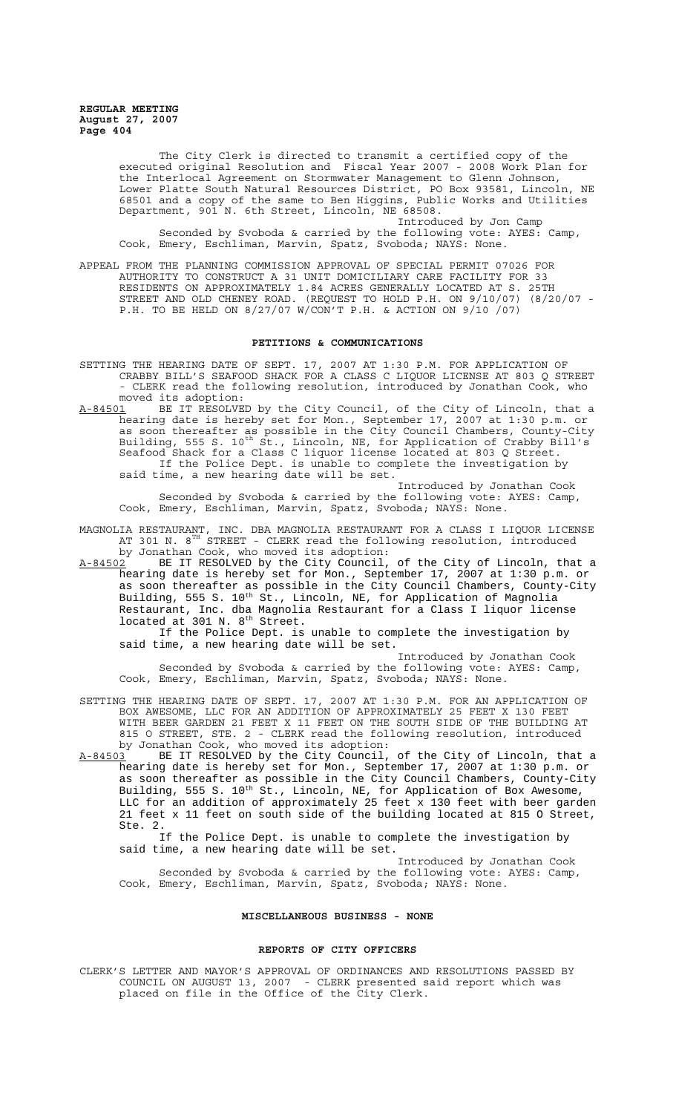> The City Clerk is directed to transmit a certified copy of the executed original Resolution and Fiscal Year 2007 - 2008 Work Plan for the Interlocal Agreement on Stormwater Management to Glenn Johnson, Lower Platte South Natural Resources District, PO Box 93581, Lincoln, NE 68501 and a copy of the same to Ben Higgins, Public Works and Utilities Department, 901 N. 6th Street, Lincoln, NE 68508.

Introduced by Jon Camp Seconded by Svoboda & carried by the following vote: AYES: Camp, Cook, Emery, Eschliman, Marvin, Spatz, Svoboda; NAYS: None.

APPEAL FROM THE PLANNING COMMISSION APPROVAL OF SPECIAL PERMIT 07026 FOR AUTHORITY TO CONSTRUCT A 31 UNIT DOMICILIARY CARE FACILITY FOR 33 RESIDENTS ON APPROXIMATELY 1.84 ACRES GENERALLY LOCATED AT S. 25TH STREET AND OLD CHENEY ROAD. (REQUEST TO HOLD P.H. ON 9/10/07) (8/20/07 - P.H. TO BE HELD ON 8/27/07 W/CON'T P.H. & ACTION ON 9/10 /07)

## **PETITIONS & COMMUNICATIONS**

- SETTING THE HEARING DATE OF SEPT. 17, 2007 AT 1:30 P.M. FOR APPLICATION OF CRABBY BILL'S SEAFOOD SHACK FOR A CLASS C LIQUOR LICENSE AT 803 Q STREET - CLERK read the following resolution, introduced by Jonathan Cook, who moved its adoption:<br>A-84501 BE IT RESOLVE
- A-84501 BE IT RESOLVED by the City Council, of the City of Lincoln, that a hearing date is hereby set for Mon., September 17, 2007 at 1:30 p.m. or as soon thereafter as possible in the City Council Chambers, County-City Building, 555 S. 10<sup>th</sup> St., Lincoln, NE, for Application of Crabby Bill's Seafood Shack for a Class C liquor license located at 803 Q Street. If the Police Dept. is unable to complete the investigation by said time, a new hearing date will be set.

Introduced by Jonathan Cook Seconded by Svoboda & carried by the following vote: AYES: Camp, Cook, Emery, Eschliman, Marvin, Spatz, Svoboda; NAYS: None.

- MAGNOLIA RESTAURANT, INC. DBA MAGNOLIA RESTAURANT FOR A CLASS I LIQUOR LICENSE AT 301 N.  $8^{\text{\tiny{TH}}}$  STREET - CLERK read the following resolution, introduced by Jonathan Cook, who moved its adoption:
- A-84502 BE IT RESOLVED by the City Council, of the City of Lincoln, that a hearing date is hereby set for Mon., September 17, 2007 at 1:30 p.m. or as soon thereafter as possible in the City Council Chambers, County-City Building, 555 S. 10<sup>th</sup> St., Lincoln, NE, for Application of Magnolia Restaurant, Inc. dba Magnolia Restaurant for a Class I liquor license located at 301 N. 8<sup>th</sup> Street.

If the Police Dept. is unable to complete the investigation by said time, a new hearing date will be set.

Introduced by Jonathan Cook Seconded by Svoboda & carried by the following vote: AYES: Camp, Cook, Emery, Eschliman, Marvin, Spatz, Svoboda; NAYS: None.

SETTING THE HEARING DATE OF SEPT. 17, 2007 AT 1:30 P.M. FOR AN APPLICATION OF BOX AWESOME, LLC FOR AN ADDITION OF APPROXIMATELY 25 FEET X 130 FEET WITH BEER GARDEN 21 FEET X 11 FEET ON THE SOUTH SIDE OF THE BUILDING AT 815 O STREET, STE. 2 - CLERK read the following resolution, introduced by Jonathan Cook, who moved its adoption:

A-84503 BE IT RESOLVED by the City Council, of the City of Lincoln, that a hearing date is hereby set for Mon., September 17, 2007 at 1:30 p.m. or as soon thereafter as possible in the City Council Chambers, County-City Building, 555 S. 10<sup>th</sup> St., Lincoln, NE, for Application of Box Awesome, LLC for an addition of approximately 25 feet x 130 feet with beer garden 21 feet x 11 feet on south side of the building located at 815 O Street, Ste. 2.

If the Police Dept. is unable to complete the investigation by said time, a new hearing date will be set.

Introduced by Jonathan Cook Seconded by Svoboda & carried by the following vote: AYES: Camp, Cook, Emery, Eschliman, Marvin, Spatz, Svoboda; NAYS: None.

# **MISCELLANEOUS BUSINESS - NONE**

#### **REPORTS OF CITY OFFICERS**

CLERK'S LETTER AND MAYOR'S APPROVAL OF ORDINANCES AND RESOLUTIONS PASSED BY COUNCIL ON AUGUST 13, 2007 - CLERK presented said report which was placed on file in the Office of the City Clerk.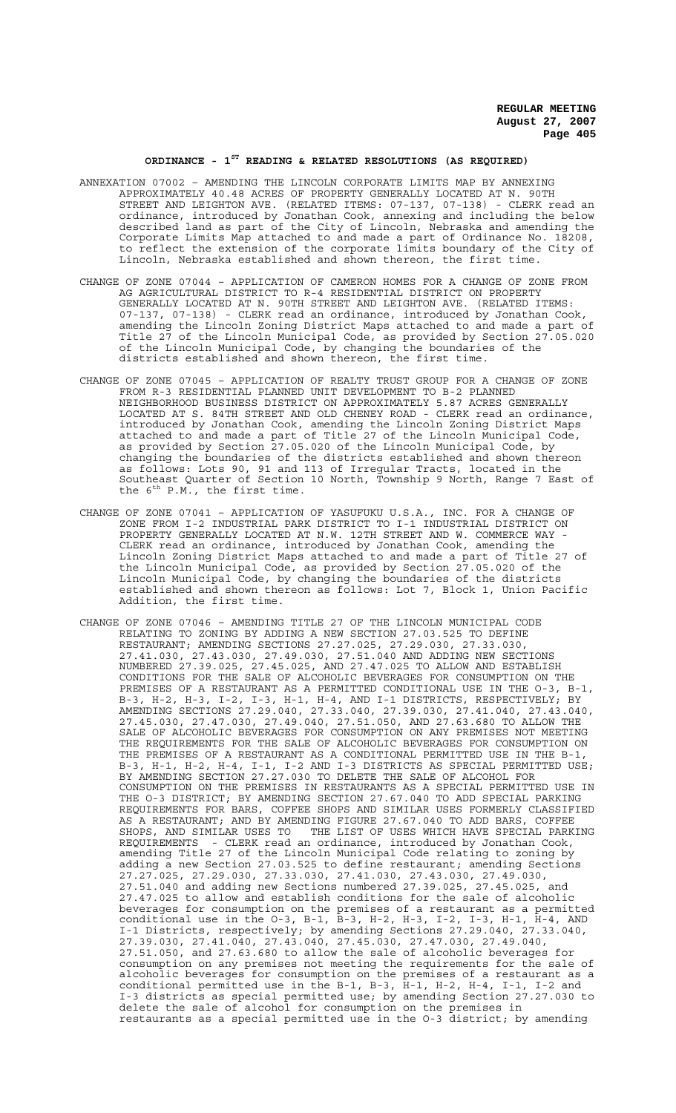# **ORDINANCE - 1ST READING & RELATED RESOLUTIONS (AS REQUIRED)**

- ANNEXATION 07002 AMENDING THE LINCOLN CORPORATE LIMITS MAP BY ANNEXING APPROXIMATELY 40.48 ACRES OF PROPERTY GENERALLY LOCATED AT N. 90TH STREET AND LEIGHTON AVE. (RELATED ITEMS: 07-137, 07-138) - CLERK read an ordinance, introduced by Jonathan Cook, annexing and including the below described land as part of the City of Lincoln, Nebraska and amending the Corporate Limits Map attached to and made a part of Ordinance No. 18208, to reflect the extension of the corporate limits boundary of the City of Lincoln, Nebraska established and shown thereon, the first time.
- CHANGE OF ZONE 07044 APPLICATION OF CAMERON HOMES FOR A CHANGE OF ZONE FROM AG AGRICULTURAL DISTRICT TO R-4 RESIDENTIAL DISTRICT ON PROPERTY GENERALLY LOCATED AT N. 90TH STREET AND LEIGHTON AVE. (RELATED ITEMS: 07-137, 07-138) - CLERK read an ordinance, introduced by Jonathan Cook, amending the Lincoln Zoning District Maps attached to and made a part of Title 27 of the Lincoln Municipal Code, as provided by Section 27.05.020 of the Lincoln Municipal Code, by changing the boundaries of the districts established and shown thereon, the first time.
- CHANGE OF ZONE 07045 APPLICATION OF REALTY TRUST GROUP FOR A CHANGE OF ZONE FROM R-3 RESIDENTIAL PLANNED UNIT DEVELOPMENT TO B-2 PLANNED NEIGHBORHOOD BUSINESS DISTRICT ON APPROXIMATELY 5.87 ACRES GENERALLY LOCATED AT S. 84TH STREET AND OLD CHENEY ROAD - CLERK read an ordinance, introduced by Jonathan Cook, amending the Lincoln Zoning District Maps attached to and made a part of Title 27 of the Lincoln Municipal Code, as provided by Section 27.05.020 of the Lincoln Municipal Code, by changing the boundaries of the districts established and shown thereon as follows: Lots 90, 91 and 113 of Irregular Tracts, located in the Southeast Quarter of Section 10 North, Township 9 North, Range 7 East of the  $6^{th}$  P.M., the first time.
- CHANGE OF ZONE 07041 APPLICATION OF YASUFUKU U.S.A., INC. FOR A CHANGE OF ZONE FROM I-2 INDUSTRIAL PARK DISTRICT TO I-1 INDUSTRIAL DISTRICT ON PROPERTY GENERALLY LOCATED AT N.W. 12TH STREET AND W. COMMERCE WAY - CLERK read an ordinance, introduced by Jonathan Cook, amending the Lincoln Zoning District Maps attached to and made a part of Title 27 of the Lincoln Municipal Code, as provided by Section 27.05.020 of the Lincoln Municipal Code, by changing the boundaries of the districts established and shown thereon as follows: Lot 7, Block 1, Union Pacific Addition, the first time.
- CHANGE OF ZONE 07046 AMENDING TITLE 27 OF THE LINCOLN MUNICIPAL CODE RELATING TO ZONING BY ADDING A NEW SECTION 27.03.525 TO DEFINE RESTAURANT; AMENDING SECTIONS 27.27.025, 27.29.030, 27.33.030, 27.41.030, 27.43.030, 27.49.030, 27.51.040 AND ADDING NEW SECTIONS NUMBERED 27.39.025, 27.45.025, AND 27.47.025 TO ALLOW AND ESTABLISH CONDITIONS FOR THE SALE OF ALCOHOLIC BEVERAGES FOR CONSUMPTION ON THE PREMISES OF A RESTAURANT AS A PERMITTED CONDITIONAL USE IN THE O-3, B-1, B-3, H-2, H-3, I-2, I-3, H-1, H-4, AND I-1 DISTRICTS, RESPECTIVELY; BY AMENDING SECTIONS 27.29.040, 27.33.040, 27.39.030, 27.41.040, 27.43.040, 27.45.030, 27.47.030, 27.49.040, 27.51.050, AND 27.63.680 TO ALLOW THE SALE OF ALCOHOLIC BEVERAGES FOR CONSUMPTION ON ANY PREMISES NOT MEETING THE REQUIREMENTS FOR THE SALE OF ALCOHOLIC BEVERAGES FOR CONSUMPTION ON THE PREMISES OF A RESTAURANT AS A CONDITIONAL PERMITTED USE IN THE B-1, B-3, H-1, H-2, H-4, I-1, I-2 AND I-3 DISTRICTS AS SPECIAL PERMITTED USE; BY AMENDING SECTION 27.27.030 TO DELETE THE SALE OF ALCOHOL FOR CONSUMPTION ON THE PREMISES IN RESTAURANTS AS A SPECIAL PERMITTED USE IN THE O-3 DISTRICT; BY AMENDING SECTION 27.67.040 TO ADD SPECIAL PARKING REQUIREMENTS FOR BARS, COFFEE SHOPS AND SIMILAR USES FORMERLY CLASSIFIED AS A RESTAURANT; AND BY AMENDING FIGURE 27.67.040 TO ADD BARS, COFFEE SHOPS, AND SIMILAR USES TO THE LIST OF USES WHICH HAVE SPECIAL PARKING REQUIREMENTS - CLERK read an ordinance, introduced by Jonathan Cook, amending Title 27 of the Lincoln Municipal Code relating to zoning by adding a new Section 27.03.525 to define restaurant; amending Sections 27.27.025, 27.29.030, 27.33.030, 27.41.030, 27.43.030, 27.49.030, 27.51.040 and adding new Sections numbered 27.39.025, 27.45.025, and 27.47.025 to allow and establish conditions for the sale of alcoholic beverages for consumption on the premises of a restaurant as a permitted conditional use in the O-3, B-1, B-3, H-2, H-3, I-2, I-3, H-1, H-4, AND I-1 Districts, respectively; by amending Sections 27.29.040, 27.33.040, 27.39.030, 27.41.040, 27.43.040, 27.45.030, 27.47.030, 27.49.040, 27.51.050, and 27.63.680 to allow the sale of alcoholic beverages for consumption on any premises not meeting the requirements for the sale of alcoholic beverages for consumption on the premises of a restaurant as a conditional permitted use in the B-1, B-3, H-1, H-2, H-4, I-1, I-2 and I-3 districts as special permitted use; by amending Section 27.27.030 to delete the sale of alcohol for consumption on the premises in restaurants as a special permitted use in the O-3 district; by amending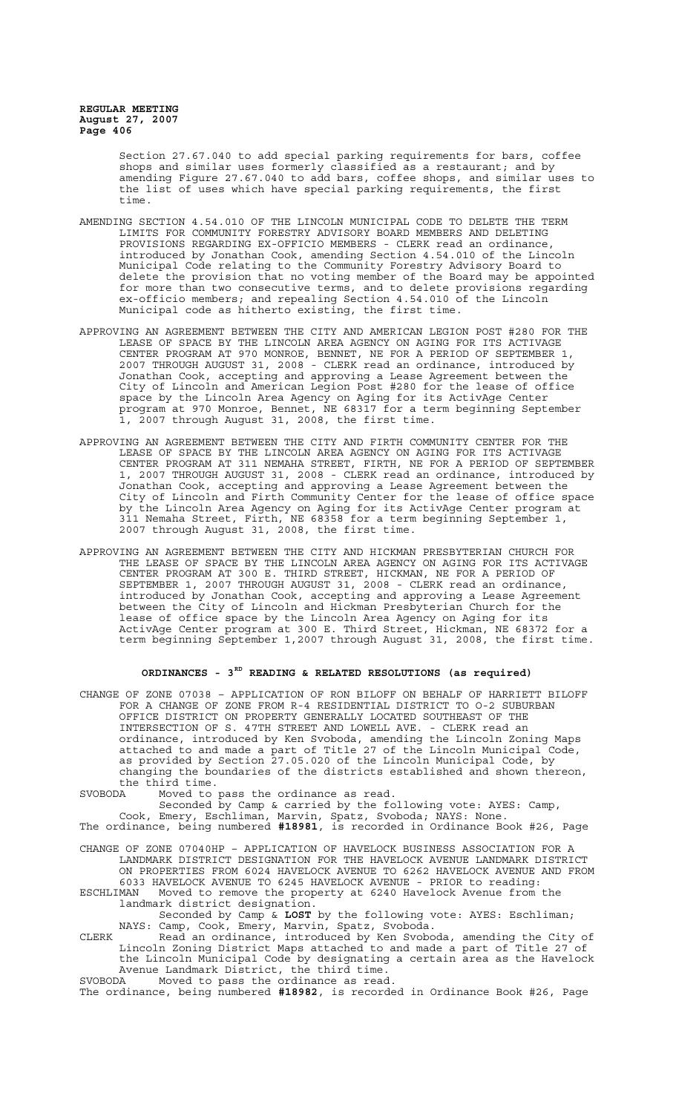> Section 27.67.040 to add special parking requirements for bars, coffee shops and similar uses formerly classified as a restaurant; and by amending Figure 27.67.040 to add bars, coffee shops, and similar uses to the list of uses which have special parking requirements, the first time.

- AMENDING SECTION 4.54.010 OF THE LINCOLN MUNICIPAL CODE TO DELETE THE TERM LIMITS FOR COMMUNITY FORESTRY ADVISORY BOARD MEMBERS AND DELETING PROVISIONS REGARDING EX-OFFICIO MEMBERS - CLERK read an ordinance, introduced by Jonathan Cook, amending Section 4.54.010 of the Lincoln Municipal Code relating to the Community Forestry Advisory Board to delete the provision that no voting member of the Board may be appointed for more than two consecutive terms, and to delete provisions regarding ex-officio members; and repealing Section 4.54.010 of the Lincoln Municipal code as hitherto existing, the first time.
- APPROVING AN AGREEMENT BETWEEN THE CITY AND AMERICAN LEGION POST #280 FOR THE LEASE OF SPACE BY THE LINCOLN AREA AGENCY ON AGING FOR ITS ACTIVAGE CENTER PROGRAM AT 970 MONROE, BENNET, NE FOR A PERIOD OF SEPTEMBER 1, 2007 THROUGH AUGUST 31, 2008 - CLERK read an ordinance, introduced by Jonathan Cook, accepting and approving a Lease Agreement between the City of Lincoln and American Legion Post #280 for the lease of office space by the Lincoln Area Agency on Aging for its ActivAge Center program at 970 Monroe, Bennet, NE 68317 for a term beginning September 1, 2007 through August 31, 2008, the first time.
- APPROVING AN AGREEMENT BETWEEN THE CITY AND FIRTH COMMUNITY CENTER FOR THE LEASE OF SPACE BY THE LINCOLN AREA AGENCY ON AGING FOR ITS ACTIVAGE CENTER PROGRAM AT 311 NEMAHA STREET, FIRTH, NE FOR A PERIOD OF SEPTEMBER 1, 2007 THROUGH AUGUST 31, 2008 - CLERK read an ordinance, introduced by Jonathan Cook, accepting and approving a Lease Agreement between the City of Lincoln and Firth Community Center for the lease of office space by the Lincoln Area Agency on Aging for its ActivAge Center program at 311 Nemaha Street, Firth, NE 68358 for a term beginning September 1, 2007 through August 31, 2008, the first time.
- APPROVING AN AGREEMENT BETWEEN THE CITY AND HICKMAN PRESBYTERIAN CHURCH FOR THE LEASE OF SPACE BY THE LINCOLN AREA AGENCY ON AGING FOR ITS ACTIVAGE CENTER PROGRAM AT 300 E. THIRD STREET, HICKMAN, NE FOR A PERIOD OF SEPTEMBER 1, 2007 THROUGH AUGUST 31, 2008 - CLERK read an ordinance, introduced by Jonathan Cook, accepting and approving a Lease Agreement between the City of Lincoln and Hickman Presbyterian Church for the lease of office space by the Lincoln Area Agency on Aging for its ActivAge Center program at 300 E. Third Street, Hickman, NE 68372 for a term beginning September 1,2007 through August 31, 2008, the first time.

### **ORDINANCES - 3RD READING & RELATED RESOLUTIONS (as required)**

CHANGE OF ZONE 07038 – APPLICATION OF RON BILOFF ON BEHALF OF HARRIETT BILOFF FOR A CHANGE OF ZONE FROM R-4 RESIDENTIAL DISTRICT TO O-2 SUBURBAN OFFICE DISTRICT ON PROPERTY GENERALLY LOCATED SOUTHEAST OF THE INTERSECTION OF S. 47TH STREET AND LOWELL AVE. - CLERK read an ordinance, introduced by Ken Svoboda, amending the Lincoln Zoning Maps attached to and made a part of Title 27 of the Lincoln Municipal Code, as provided by Section 27.05.020 of the Lincoln Municipal Code, by changing the boundaries of the districts established and shown thereon, the third time.<br>SVOBODA Moved to

SVOBODA Moved to pass the ordinance as read.

Seconded by Camp & carried by the following vote: AYES: Camp,

Cook, Emery, Eschliman, Marvin, Spatz, Svoboda; NAYS: None. The ordinance, being numbered **#18981**, is recorded in Ordinance Book #26, Page

CHANGE OF ZONE 07040HP – APPLICATION OF HAVELOCK BUSINESS ASSOCIATION FOR A LANDMARK DISTRICT DESIGNATION FOR THE HAVELOCK AVENUE LANDMARK DISTRICT ON PROPERTIES FROM 6024 HAVELOCK AVENUE TO 6262 HAVELOCK AVENUE AND FROM 6033 HAVELOCK AVENUE TO 6245 HAVELOCK AVENUE - PRIOR to reading:

Moved to remove the property at 6240 Havelock Avenue from the landmark district designation.

Seconded by Camp & **LOST** by the following vote: AYES: Eschliman; NAYS: Camp, Cook, Emery, Marvin, Spatz, Svoboda.

CLERK Read an ordinance, introduced by Ken Svoboda, amending the City of Lincoln Zoning District Maps attached to and made a part of Title 27 of the Lincoln Municipal Code by designating a certain area as the Havelock Avenue Landmark District, the third time. SVOBODA Moved to pass the ordinance as read.

The ordinance, being numbered **#18982**, is recorded in Ordinance Book #26, Page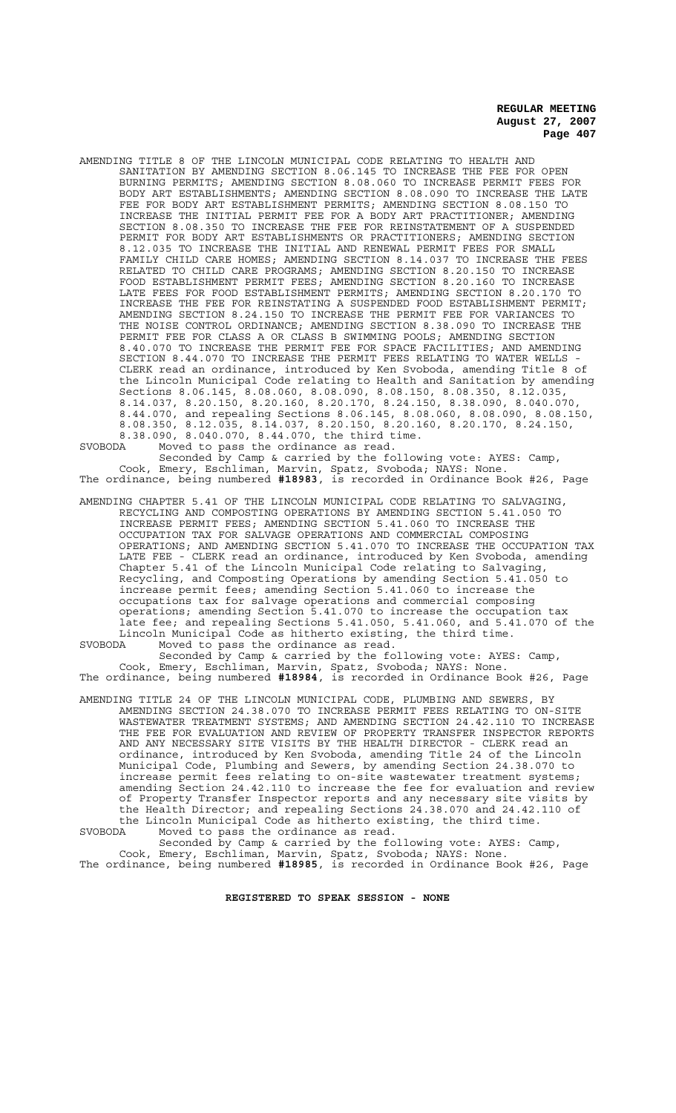AMENDING TITLE 8 OF THE LINCOLN MUNICIPAL CODE RELATING TO HEALTH AND SANITATION BY AMENDING SECTION 8.06.145 TO INCREASE THE FEE FOR OPEN BURNING PERMITS; AMENDING SECTION 8.08.060 TO INCREASE PERMIT FEES FOR BODY ART ESTABLISHMENTS; AMENDING SECTION 8.08.090 TO INCREASE THE LATE FEE FOR BODY ART ESTABLISHMENT PERMITS; AMENDING SECTION 8.08.150 TO INCREASE THE INITIAL PERMIT FEE FOR A BODY ART PRACTITIONER; AMENDING SECTION 8.08.350 TO INCREASE THE FEE FOR REINSTATEMENT OF A SUSPENDED PERMIT FOR BODY ART ESTABLISHMENTS OR PRACTITIONERS; AMENDING SECTION 8.12.035 TO INCREASE THE INITIAL AND RENEWAL PERMIT FEES FOR SMALL FAMILY CHILD CARE HOMES; AMENDING SECTION 8.14.037 TO INCREASE THE FEES RELATED TO CHILD CARE PROGRAMS; AMENDING SECTION 8.20.150 TO INCREASE FOOD ESTABLISHMENT PERMIT FEES; AMENDING SECTION 8.20.160 TO INCREASE LATE FEES FOR FOOD ESTABLISHMENT PERMITS; AMENDING SECTION 8.20.170 TO INCREASE THE FEE FOR REINSTATING A SUSPENDED FOOD ESTABLISHMENT PERMIT; AMENDING SECTION 8.24.150 TO INCREASE THE PERMIT FEE FOR VARIANCES TO THE NOISE CONTROL ORDINANCE; AMENDING SECTION 8.38.090 TO INCREASE THE PERMIT FEE FOR CLASS A OR CLASS B SWIMMING POOLS; AMENDING SECTION 8.40.070 TO INCREASE THE PERMIT FEE FOR SPACE FACILITIES; AND AMENDING SECTION 8.44.070 TO INCREASE THE PERMIT FEES RELATING TO WATER WELLS - CLERK read an ordinance, introduced by Ken Svoboda, amending Title 8 of the Lincoln Municipal Code relating to Health and Sanitation by amending Sections 8.06.145, 8.08.060, 8.08.090, 8.08.150, 8.08.350, 8.12.035, 8.14.037, 8.20.150, 8.20.160, 8.20.170, 8.24.150, 8.38.090, 8.040.070, 8.44.070, and repealing Sections 8.06.145, 8.08.060, 8.08.090, 8.08.150, 8.08.350, 8.12.035, 8.14.037, 8.20.150, 8.20.160, 8.20.170, 8.24.150, 8.38.090, 8.040.070, 8.44.070, the third time. SVOBODA Moved to pass the ordinance as read.

Seconded by Camp & carried by the following vote: AYES: Camp, Cook, Emery, Eschliman, Marvin, Spatz, Svoboda; NAYS: None. The ordinance, being numbered **#18983**, is recorded in Ordinance Book #26, Page

AMENDING CHAPTER 5.41 OF THE LINCOLN MUNICIPAL CODE RELATING TO SALVAGING, RECYCLING AND COMPOSTING OPERATIONS BY AMENDING SECTION 5.41.050 TO INCREASE PERMIT FEES; AMENDING SECTION 5.41.060 TO INCREASE THE OCCUPATION TAX FOR SALVAGE OPERATIONS AND COMMERCIAL COMPOSING OPERATIONS; AND AMENDING SECTION 5.41.070 TO INCREASE THE OCCUPATION TAX LATE FEE - CLERK read an ordinance, introduced by Ken Svoboda, amending Chapter 5.41 of the Lincoln Municipal Code relating to Salvaging, Recycling, and Composting Operations by amending Section 5.41.050 to increase permit fees; amending Section 5.41.060 to increase the occupations tax for salvage operations and commercial composing operations; amending Section 5.41.070 to increase the occupation tax late fee; and repealing Sections 5.41.050, 5.41.060, and 5.41.070 of the Lincoln Municipal Code as hitherto existing, the third time.<br>SVOBODA Moved to pass the ordinance as read. SVOBODA Moved to pass the ordinance as read.

Seconded by Camp & carried by the following vote: AYES: Camp, Cook, Emery, Eschliman, Marvin, Spatz, Svoboda; NAYS: None. The ordinance, being numbered **#18984**, is recorded in Ordinance Book #26, Page

AMENDING TITLE 24 OF THE LINCOLN MUNICIPAL CODE, PLUMBING AND SEWERS, BY AMENDING SECTION 24.38.070 TO INCREASE PERMIT FEES RELATING TO ON-SITE WASTEWATER TREATMENT SYSTEMS; AND AMENDING SECTION 24.42.110 TO INCREASE THE FEE FOR EVALUATION AND REVIEW OF PROPERTY TRANSFER INSPECTOR REPORTS AND ANY NECESSARY SITE VISITS BY THE HEALTH DIRECTOR - CLERK read an ordinance, introduced by Ken Svoboda, amending Title 24 of the Lincoln Municipal Code, Plumbing and Sewers, by amending Section 24.38.070 to increase permit fees relating to on-site wastewater treatment systems; amending Section 24.42.110 to increase the fee for evaluation and review of Property Transfer Inspector reports and any necessary site visits by the Health Director; and repealing Sections 24.38.070 and 24.42.110 of the Lincoln Municipal Code as hitherto existing, the third time. SVOBODA Moved to pass the ordinance as read.

Seconded by Camp & carried by the following vote: AYES: Camp, Cook, Emery, Eschliman, Marvin, Spatz, Svoboda; NAYS: None. The ordinance, being numbered **#18985**, is recorded in Ordinance Book #26, Page

**REGISTERED TO SPEAK SESSION - NONE**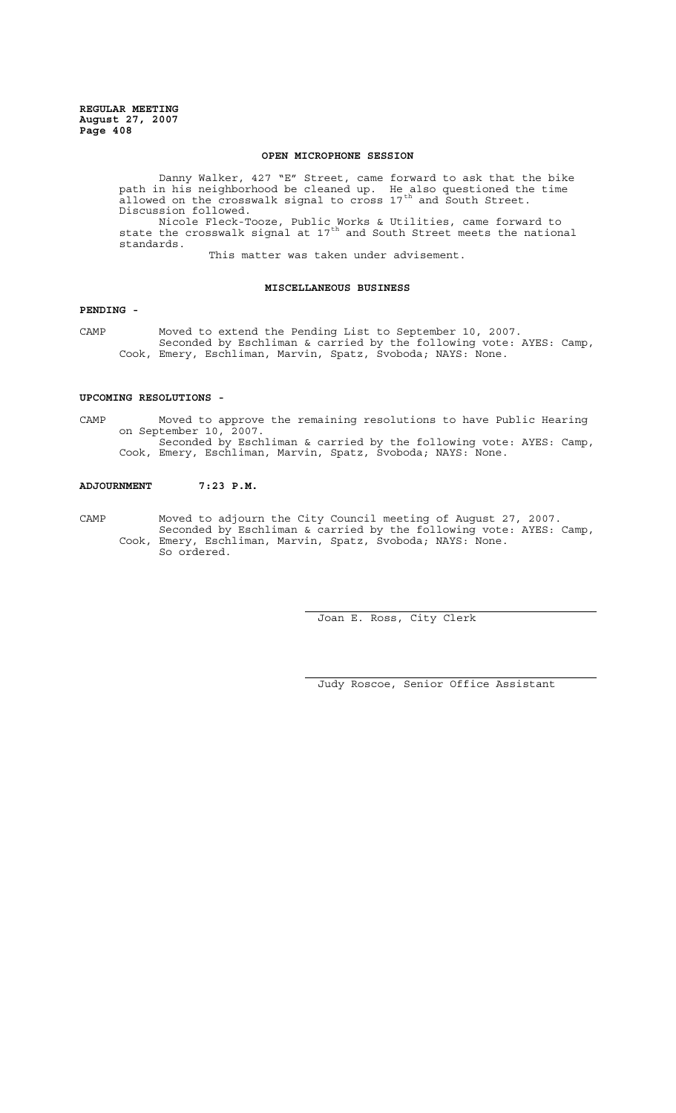# **OPEN MICROPHONE SESSION**

Danny Walker, 427 "E" Street, came forward to ask that the bike path in his neighborhood be cleaned up. He also questioned the time .<br>allowed on the crosswalk signal to cross 17<sup>th</sup> and South Street. Discussion followed. Nicole Fleck-Tooze, Public Works & Utilities, came forward to state the crosswalk signal at  $17<sup>th</sup>$  and South Street meets the national standards.

This matter was taken under advisement.

# **MISCELLANEOUS BUSINESS**

# **PENDING -**

CAMP Moved to extend the Pending List to September 10, 2007. Seconded by Eschliman & carried by the following vote: AYES: Camp, Cook, Emery, Eschliman, Marvin, Spatz, Svoboda; NAYS: None.

# **UPCOMING RESOLUTIONS -**

CAMP Moved to approve the remaining resolutions to have Public Hearing on September 10, 2007. Seconded by Eschliman & carried by the following vote: AYES: Camp, Cook, Emery, Eschliman, Marvin, Spatz, Svoboda; NAYS: None.

## **ADJOURNMENT 7:23 P.M.**

CAMP Moved to adjourn the City Council meeting of August 27, 2007. Seconded by Eschliman & carried by the following vote: AYES: Camp, Cook, Emery, Eschliman, Marvin, Spatz, Svoboda; NAYS: None. So ordered.

Joan E. Ross, City Clerk

Judy Roscoe, Senior Office Assistant